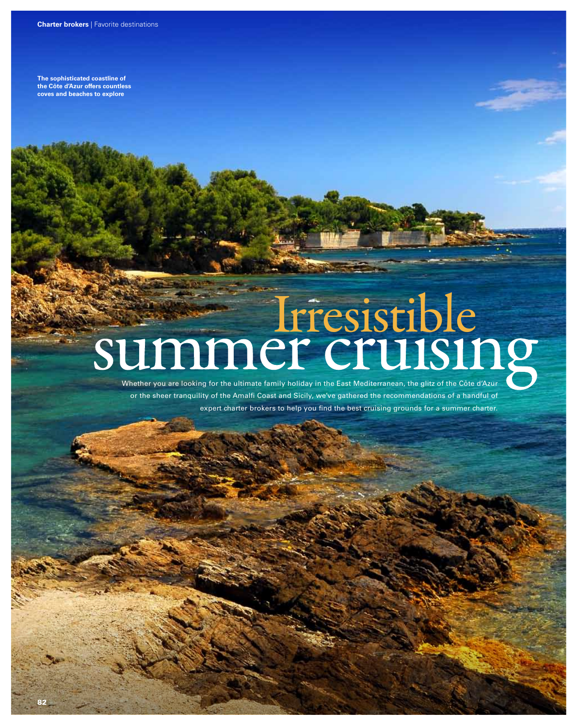**The sophisticated coastline of the Côte d'Azur offers countless coves and beaches to explore**

# Irresistible<br>Summer cruising

Whether you are looking for the ultimate family holiday in the East Mediterranean, the glitz of the Côte d'Azur or the sheer tranquility of the Amalfi Coast and Sicily, we've gathered the recommendations of a handful of expert charter brokers to help you find the best cruising grounds for a summer charter.